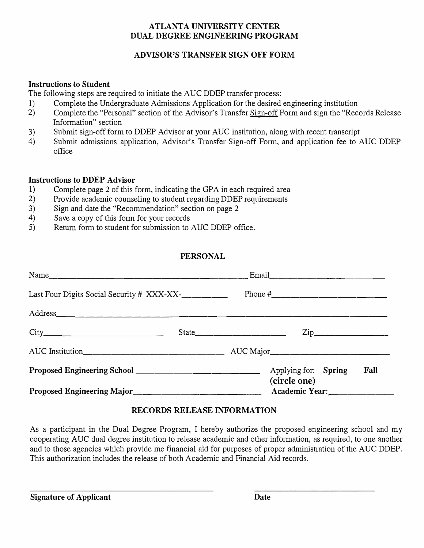## **ATLANTA UNIVERSITY CENTER DUAL DEGREE ENGINEERING PROGRAM**

# **ADVISOR'S TRANSFER SIGN OFF FORM**

#### **Instructions to Student**

The following steps are required to initiate the AUC DDEP transfer process:

- 1) Complete the Undergraduate Admissions Application for the desired engineering institution
- 2) Complete the "Personal" section of the Advisor's Transfer Sign-off Form and sign the "Records Release Information" section
- 3) Submit sign-off form to DDEP Advisor at your AUC institution, along with recent transcript
- 4) Submit admissions application, Advisor's Transfer Sign-off Form, and application fee to AUC DDEP office

## **Instructions to DDEP Advisor**

- 1) Complete page 2 of this form, indicating the GPA in each required area
- 2) Provide academic counseling to student regarding DDEP requirements
- 3) Sign and date the "Recommendation" section on page 2
- 4) Save a copy of this form for your records
- 5) Return form to student for submission to AUC DDEP office.

## **PERSONAL**

| Proposed Engineering Major<br>Major<br>Manuscriptic Academic Year: Manuscriptic Academic Year: Manuscriptic Academic Year: Manuscriptic Academic Year: Manuscriptic Academic Year: Manuscriptic Academic Year: Manuscriptic Academ |       | (circle one) |                                                                                                      |                  |      |
|------------------------------------------------------------------------------------------------------------------------------------------------------------------------------------------------------------------------------------|-------|--------------|------------------------------------------------------------------------------------------------------|------------------|------|
|                                                                                                                                                                                                                                    |       |              | Applying for: Spring                                                                                 |                  | Fall |
|                                                                                                                                                                                                                                    |       |              |                                                                                                      |                  |      |
|                                                                                                                                                                                                                                    | State |              |                                                                                                      | $\mathsf{Zip}\_$ |      |
|                                                                                                                                                                                                                                    |       |              |                                                                                                      |                  |      |
| Last Four Digits Social Security # XXX-XX-                                                                                                                                                                                         |       |              |                                                                                                      |                  |      |
| Name                                                                                                                                                                                                                               |       |              | Email 2008 - 2008 - 2008 - 2010 - 2010 - 2010 - 2011 - 2012 - 2012 - 2012 - 2012 - 2012 - 2012 - 201 |                  |      |

# **RECORDS RELEASE INFORMATION**

As a participant in the Dual Degree Program, I hereby authorize the proposed engineering school and my cooperating AUC dual degree institution to release academic and other information, as required, to one another and to those agencies which provide me financial aid for purposes of proper administration of the AUC DDEP. This authorization includes the release of both Academic and Financial Aid records.

**Signature of Applicant Date**